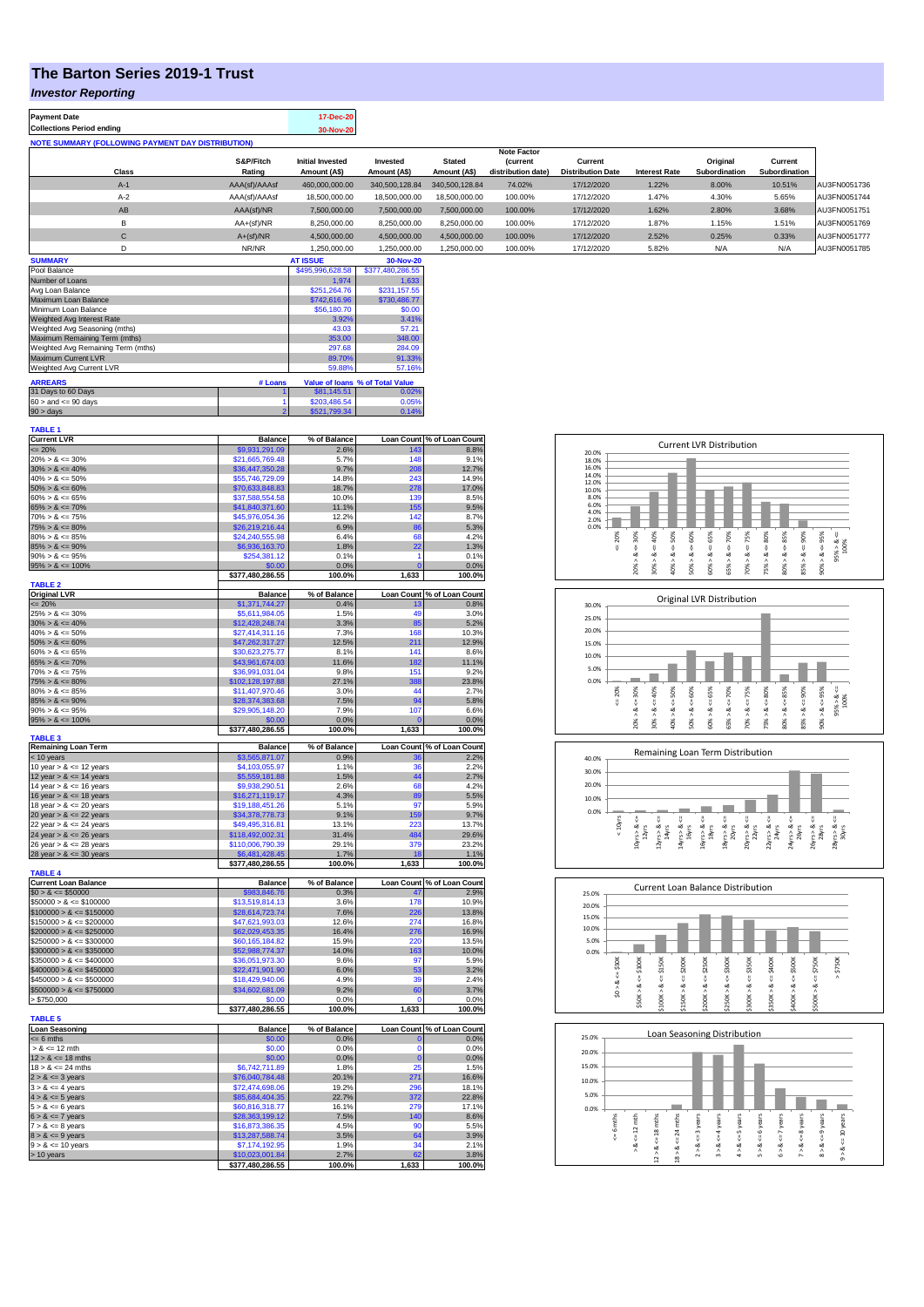# **The Barton Series 2019-1 Trust**

#### *Investor Reporting*

| <b>Payment Date</b>                                      |       |                     | 17-Dec-20                               |                          |                               |                                      |                                     |                      |                           |                          |              |
|----------------------------------------------------------|-------|---------------------|-----------------------------------------|--------------------------|-------------------------------|--------------------------------------|-------------------------------------|----------------------|---------------------------|--------------------------|--------------|
| <b>Collections Period ending</b>                         |       |                     | 30-Nov-20                               |                          |                               |                                      |                                     |                      |                           |                          |              |
| <b>NOTE SUMMARY (FOLLOWING PAYMENT DAY DISTRIBUTION)</b> |       |                     |                                         |                          |                               |                                      |                                     |                      |                           |                          |              |
|                                                          |       |                     | <b>Note Factor</b>                      |                          |                               |                                      |                                     |                      |                           |                          |              |
|                                                          | Class | S&P/Fitch<br>Rating | <b>Initial Invested</b><br>Amount (A\$) | Invested<br>Amount (A\$) | <b>Stated</b><br>Amount (A\$) | <b>Current</b><br>distribution date) | Current<br><b>Distribution Date</b> | <b>Interest Rate</b> | Original<br>Subordination | Current<br>Subordination |              |
|                                                          | $A-1$ | AAA(sf)/AAAsf       | 460.000.000.00                          | 340,500,128,84           | 340,500,128,84                | 74.02%                               | 17/12/2020                          | 1.22%                | 8.00%                     | 10.51%                   | AU3FN0051736 |
|                                                          | $A-2$ | AAA(sf)/AAAsf       | 18,500,000,00                           | 18,500,000,00            | 18,500,000.00                 | 100.00%                              | 17/12/2020                          | 1.47%                | 4.30%                     | 5.65%                    | AU3FN0051744 |
|                                                          | AB    | AAA(sf)/NR          | 7.500.000.00                            | 7.500.000.00             | 7.500.000.00                  | 100.00%                              | 17/12/2020                          | 1.62%                | 2.80%                     | 3.68%                    | AU3FN0051751 |
|                                                          | В     | $AA+(sf)/NR$        | 8.250.000.00                            | 8,250,000.00             | 8,250,000.00                  | 100.00%                              | 17/12/2020                          | 1.87%                | 1.15%                     | 1.51%                    | AU3FN0051769 |
|                                                          | С     | $A+(sf)/NR$         | 4.500.000.00                            | 4.500.000.00             | 4.500.000.00                  | 100.00%                              | 17/12/2020                          | 2.52%                | 0.25%                     | 0.33%                    | AU3FN0051777 |
|                                                          | D     | NR/NR               | 1.250.000.00                            | 1.250.000.00             | 1,250,000.00                  | 100.00%                              | 17/12/2020                          | 5.82%                | N/A                       | N/A                      | AU3FN0051785 |
| <b>SUMMARY</b>                                           |       |                     | <b>AT ISSUE</b>                         | 30-Nov-20                |                               |                                      |                                     |                      |                           |                          |              |

| Pool Balance                       | \$495.996.628.58 | \$377,480,286.55 |                                 |
|------------------------------------|------------------|------------------|---------------------------------|
| Number of Loans                    | 1.974            | 1.633            |                                 |
| Avg Loan Balance                   | \$251.264.76     | \$231.157.55     |                                 |
| Maximum Loan Balance               | \$742,616.96     | \$730,486.77     |                                 |
| Minimum Loan Balance               | \$56,180.70      | \$0.00           |                                 |
| Weighted Avg Interest Rate         | 3.92%            | 3.41%            |                                 |
| Weighted Avg Seasoning (mths)      | 43.03            | 57.21            |                                 |
| Maximum Remaining Term (mths)      | 353.00           | 348.00           |                                 |
| Weighted Avg Remaining Term (mths) | 297.68           | 284.09           |                                 |
| Maximum Current LVR                | 89.70%           | 91.33%           |                                 |
| Weighted Avg Current LVR           | 59.88%           | 57.16%           |                                 |
| <b>ARREARS</b>                     | # Loans          |                  | Value of Ioans % of Total Value |
| 31 Days to 60 Days                 |                  | \$81,145.51      | 0.02%                           |
| $60 >$ and $\leq 90$ days          |                  | \$203,486.54     | 0.05%                           |
| $90 >$ days                        | \$521.799.34     | 0.14%            |                                 |

| <b>TABLE 1</b>              |                  |              |                   |                            |
|-----------------------------|------------------|--------------|-------------------|----------------------------|
| <b>Current LVR</b>          | <b>Balance</b>   | % of Balance |                   | Loan Count % of Loan Count |
| $\leq$ 20%                  | \$9,931,291.09   | 2.6%         | 143               | 8.8%                       |
| $20\% > 8 \le 30\%$         | \$21,665,769.48  | 5.7%         | 148               | 9.1%                       |
| $30\% > 8 \le 40\%$         | \$36,447,350.28  | 9.7%         | 208               | 12.7%                      |
| $40\% > 8 \le 50\%$         | \$55,746,729.09  | 14.8%        | 243               | 14.9%                      |
|                             |                  |              |                   |                            |
| $50\% > 8 \le 60\%$         | \$70,633,848.83  | 18.7%        | 278               | 17.0%                      |
| $60\% > 8 \le 65\%$         | \$37,588,554.58  | 10.0%        | 139               | 8.5%                       |
| $65\% > 8 \le 70\%$         | \$41,840,371.60  | 11.1%        | 155               | 9.5%                       |
| $70\% > 8 \le 75\%$         | \$45,976,054.36  | 12.2%        | 142               | 8.7%                       |
| $75\% > 8 \le 80\%$         | \$26,219,216.44  | 6.9%         | 86                | 5.3%                       |
| $80\% > 8 \le 85\%$         | \$24,240,555.98  | 6.4%         | 68                | 4.2%                       |
| $85\% > 8 \le 90\%$         | \$6,936,163.70   | 1.8%         | 22                | 1.3%                       |
|                             |                  | 0.1%         | 1                 | 0.1%                       |
| $90\% > 8 \le 95\%$         | \$254,381.12     |              |                   |                            |
| $95\% > 8 \le 100\%$        | \$0.00           | 0.0%         | $\Omega$          | 0.0%                       |
|                             | \$377,480,286.55 | 100.0%       | 1,633             | 100.0%                     |
| <b>TABLE 2</b>              |                  |              |                   |                            |
| <b>Original LVR</b>         | <b>Balance</b>   | % of Balance | <b>Loan Count</b> | % of Loan Count            |
| $= 20%$                     | \$1,371,744.27   | 0.4%         | 13                | 0.8%                       |
| $25\% > 8 \le 30\%$         | \$5,611,984.05   | 1.5%         | 49                | 3.0%                       |
| $30\% > 8 \le 40\%$         | \$12,428,248.74  | 3.3%         | 85                | 5.2%                       |
| $40\% > 8 \le 50\%$         | \$27,414,311.16  | 7.3%         | 168               |                            |
|                             |                  |              |                   | 10.3%                      |
| $50\% > 8 \le 60\%$         | \$47,262,317.27  | 12.5%        | 211               | 12.9%                      |
| $60\% > 8 \le 65\%$         | \$30,623,275.77  | 8.1%         | 141               | 8.6%                       |
| $65\% > 8 \le 70\%$         | \$43,961,674.03  | 11.6%        | 182               | 11.1%                      |
| $70\% > 8 \le 75\%$         | \$36,991,031.04  | 9.8%         | 151               | 9.2%                       |
| $75\% > 8 \le 80\%$         | \$102,128,197.88 | 27.1%        | 388               | 23.8%                      |
| $80\% > 8 \le 85\%$         | \$11,407,970.46  | 3.0%         | 44                | 2.7%                       |
| $85\% > 8 \le 90\%$         | \$28,374,383.68  | 7.5%         | 94                | 5.8%                       |
|                             |                  |              |                   |                            |
| $90\% > 8 \le 95\%$         | \$29,905,148.20  | 7.9%         | 107               | 6.6%                       |
| $95\% > 8 \le 100\%$        | \$0.00           | 0.0%         |                   | 0.0%                       |
|                             | \$377,480,286.55 | 100.0%       | 1,633             | 100.0%                     |
| <b>TABLE 3</b>              |                  |              |                   |                            |
| <b>Remaining Loan Term</b>  | <b>Balance</b>   | % of Balance |                   | Loan Count % of Loan Count |
| < 10 years                  | \$3,565,871.07   | 0.9%         |                   | 2.2%                       |
| 10 year $> 8 \le 12$ years  | \$4,103,055.97   | 1.1%         | 36                | 2.2%                       |
| 12 year $> 8 \le 14$ years  | \$5,559,181.88   | 1.5%         | 44                | 2.7%                       |
| 14 year $> 8 \le 16$ years  | \$9,938,290.51   | 2.6%         | 68                | 4.2%                       |
| 16 year $> 8 \le 18$ years  | \$16,271,119.17  | 4.3%         | 89                | 5.5%                       |
| 18 year $> 8 \le 20$ years  | \$19,188,451.26  | 5.1%         | 97                | 5.9%                       |
|                             |                  |              |                   |                            |
| 20 year $> 8 \le 22$ years  | \$34,378,778.73  | 9.1%         | 159               | 9.7%                       |
| 22 year $> 8 \le 24$ years  | \$49,495,316.81  | 13.1%        | 223               | 13.7%                      |
| 24 year $> 8 \le 26$ years  | \$118,492,002.31 | 31.4%        | 484               | 29.6%                      |
| 26 year $> 8 \le 28$ years  | \$110,006,790.39 | 29.1%        | 379               | 23.2%                      |
| 28 year $> 8 \le 30$ years  | \$6,481,428.45   | 1.7%         | 18                | 1.1%                       |
|                             | \$377,480,286.55 | 100.0%       | 1,633             | 100.0%                     |
| <b>TABLE 4</b>              |                  |              |                   |                            |
| <b>Current Loan Balance</b> | <b>Balance</b>   | % of Balance |                   | Loan Count % of Loan Count |
|                             |                  |              |                   |                            |
| $$0 > 8 \le $50000$         | \$983,846.76     | 0.3%         | 47                | 2.9%                       |
| $$50000 > 8 \le $100000$    | \$13,519,814.13  | 3.6%         | 178               | 10.9%                      |
| $$100000 > 8 \leq $150000$  | \$28,614,723.74  | 7.6%         | 226               | 13.8%                      |
| $$150000 > 8 \le $200000$   | \$47,621,993.03  | 12.6%        | 274               | 16.8%                      |
| $$200000 > 8 \le $250000$   | \$62,029,453.35  | 16.4%        | 276               | 16.9%                      |
| $$250000 > 8 \le $300000$   | \$60,165,184.82  | 15.9%        | 220               | 13.5%                      |
| $$300000 > 8 \leq $350000$  | \$52,988,774.37  | 14.0%        | 163               | 10.0%                      |
|                             |                  |              | 97                |                            |
| $$350000 > 8 \le $400000$   | \$36,051,973.30  | 9.6%         |                   | 5.9%                       |
| $$400000 > 8 \le $450000$   | \$22,471,901.90  | 6.0%         | 53                | 3.2%                       |
| $$450000 > 8 \le $500000$   | \$18,429,940.06  | 4.9%         | 30                | 2.4%                       |
| $$500000 > 8 \leq $750000$  | \$34,602,681.09  | 9.2%         | 60                | 3.7%                       |
| > \$750,000                 | \$0.00           | 0.0%         | n                 | 0.0%                       |
|                             |                  |              |                   |                            |
|                             |                  |              |                   |                            |
|                             | \$377,480,286.55 | 100.0%       | 1,633             | 100.0%                     |
| <b>TABLE 5</b>              |                  |              |                   |                            |
| <b>Loan Seasoning</b>       | <b>Balance</b>   | % of Balance | <b>Loan Count</b> | % of Loan Count            |
| $= 6$ mths                  | \$0.00           | 0.0%         | o                 | 0.0%                       |
| $> 8 \le 12$ mth            | \$0.00           | 0.0%         | n                 | 0.0%                       |
| $12 > 8 \le 18$ mths        | \$0.00           | 0.0%         | $\mathbf 0$       | 0.0%                       |
| $18 > 8 \le 24$ mths        | \$6.742.711.89   | 1.8%         | 25                | 1.5%                       |
| $2 > 8 \le 3$ years         | \$76,040,784.48  | 20.1%        | 271               | 16.6%                      |
|                             |                  |              | 296               |                            |
| $3 > 8 \leq 4$ years        | \$72,474,698.06  | 19.2%        |                   | 18.1%                      |
| $4 > 8 \le 5$ years         | \$85,684,404.35  | 22.7%        | 372               | 22.8%                      |
| $5 > 8 \le 6$ years         | \$60,816,318.77  | 16.1%        | 279               | 17.1%                      |
| $6 > 8 \le 7$ years         | \$28,363,199.12  | 7.5%         | 140               | 8.6%                       |
| $7 > 8 \le 8$ years         | \$16,873,386.35  | 4.5%         | 90                | 5.5%                       |
| $8 > 8 \le 9$ years         | \$13,287,588.74  | 3.5%         | 64                | 3.9%                       |
| $9 > 8 \le 10$ years        | \$7,174,192.95   | 1.9%         | 34                | 2.1%                       |
| > 10 years                  | \$10,023,001.84  | 2.7%         | 62                | 3.8%                       |

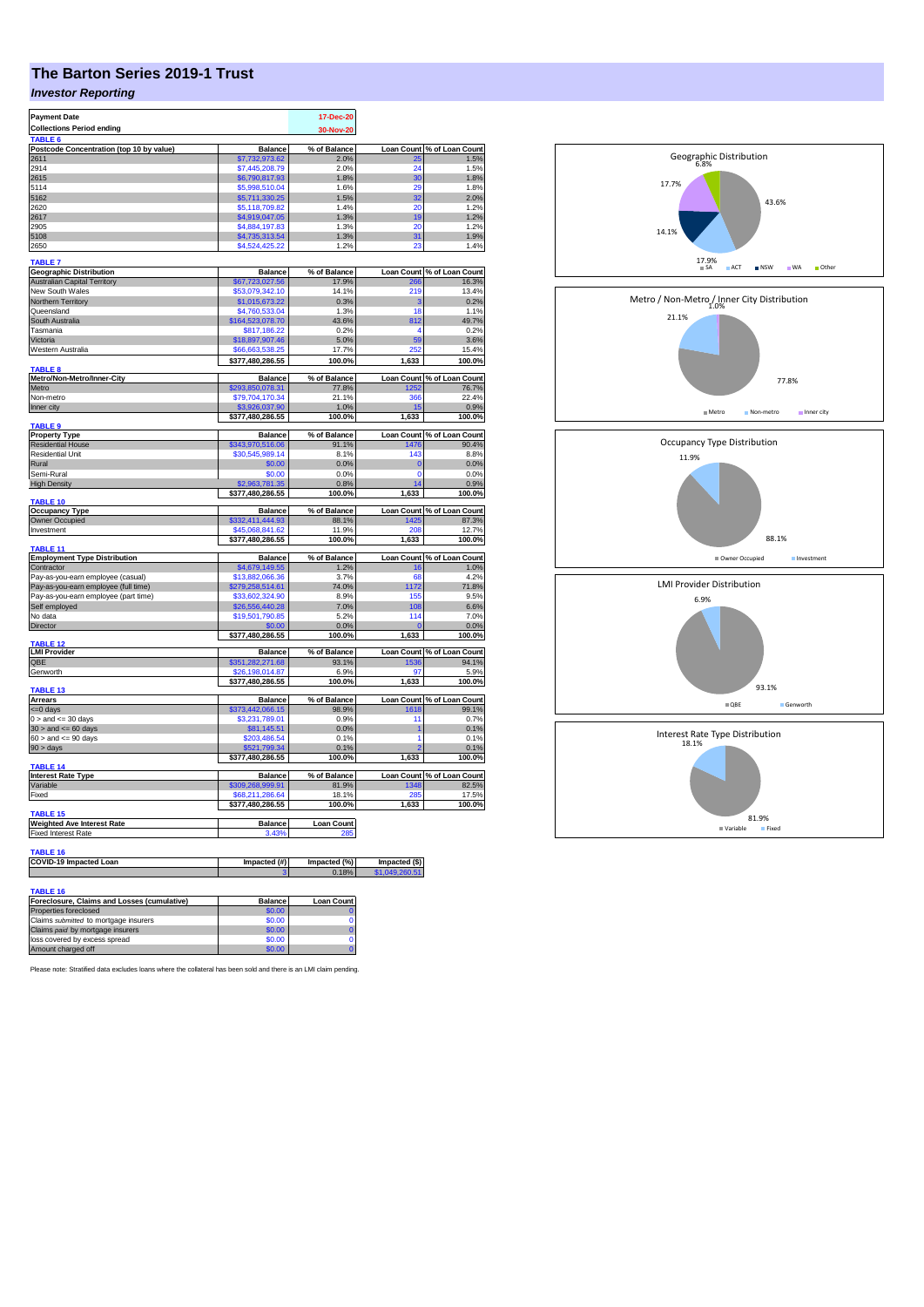# **The Barton Series 2019-1 Trust**

### *Investor Reporting*

| <b>Payment Date</b>                                               | 17-Dec-20                          |                          |                   |                                     |
|-------------------------------------------------------------------|------------------------------------|--------------------------|-------------------|-------------------------------------|
| <b>Collections Period ending</b><br>TABLE <sub>6</sub>            |                                    | 30-Nov-20                |                   |                                     |
| Postcode Concentration (top 10 by value)                          | <b>Balance</b>                     | % of Balance             | <b>Loan Count</b> | % of Loan Count                     |
| 2611                                                              | \$7,732,973.62                     | 2.0%                     | 25                | 1.5%                                |
| 2914                                                              | \$7,445,208.79                     | 2.0%                     | 24                | 1.5%                                |
| 2615<br>5114                                                      | \$6,790,817.93<br>\$5,998,510.04   | 1.8%<br>1.6%             | 30<br>29          | 1.8%<br>1.8%                        |
| 5162                                                              | \$5,711,330.25                     | 1.5%                     | 32                | 2.0%                                |
| 2620                                                              | \$5,118,709.82                     | 1.4%                     | 20                | 1.2%                                |
| 2617                                                              | \$4,919,047.05                     | 1.3%                     | 19                | 1.2%                                |
| 2905                                                              | \$4,884,197.83                     | 1.3%                     | 20                | 1.2%                                |
| 5108<br>2650                                                      | \$4,735,313.54<br>\$4,524,425.22   | 1.3%<br>1.2%             | 31<br>23          | 1.9%<br>1.4%                        |
|                                                                   |                                    |                          |                   |                                     |
| <b>TABLE 7</b><br><b>Geographic Distribution</b>                  | <b>Balance</b>                     | % of Balance             |                   | Loan Count % of Loan Count          |
| <b>Australian Capital Territory</b>                               | \$67,723,027.56                    | 17.9%                    | 266               | 16.3%                               |
| New South Wales                                                   | \$53,079,342.10                    | 14.1%                    | 219               | 13.4%                               |
| Northern Territory                                                | \$1,015,673.22                     | 0.3%                     | з                 | 0.2%                                |
| Queensland                                                        | \$4,760,533.04                     | 1.3%<br>43.6%            | 18                | 1.1%                                |
| South Australia<br>Tasmania                                       | \$164,523,078.70<br>\$817,186.22   | 0.2%                     | 812<br>4          | 49.7%<br>0.2%                       |
| Victoria                                                          | \$18,897,907.46                    | 5.0%                     | 59                | 3.6%                                |
| Western Australia                                                 | \$66,663,538.25                    | 17.7%                    | 252               | 15.4%                               |
|                                                                   | \$377,480,286.55                   | 100.0%                   | 1,633             | 100.0%                              |
| <b>TABLE 8</b><br>Metro/Non-Metro/Inner-City                      | <b>Balance</b>                     | % of Balance             |                   | Loan Count % of Loan Count          |
| Metro                                                             | \$293,850,078.31                   | 77.8%                    | 1252              | 76.7%                               |
| Non-metro                                                         | \$79,704,170.34                    | 21.1%                    | 366               | 22.4%                               |
| Inner city                                                        | \$3,926,037.90<br>\$377,480,286.55 | 1.0%                     | 15                | 0.9%                                |
| <b>TABLE 9</b>                                                    |                                    | 100.0%                   | 1,633             | 100.0%                              |
| <b>Property Type</b>                                              | <b>Balance</b>                     | % of Balance             |                   | Loan Count % of Loan Count          |
| <b>Residential House</b>                                          | \$343,970,516.06                   | 91.1%                    | 1476              | 90.4%                               |
| <b>Residential Unit</b>                                           | \$30,545,989.14                    | 8.1%                     | 143               | 8.8%                                |
| Rural<br>Semi-Rural                                               | \$0.00<br>\$0.00                   | 0.0%<br>0.0%             | $\bf{0}$<br>0     | 0.0%<br>0.0%                        |
| <b>High Density</b>                                               | \$2,963,781.35                     | 0.8%                     | 14                | 0.9%                                |
|                                                                   | \$377.480.286.55                   | 100.0%                   | 1,633             | 100.0%                              |
| TABLE 10<br><b>Occupancy Type</b>                                 | <b>Balance</b>                     | % of Balance             |                   | Loan Count % of Loan Count          |
| Owner Occupied                                                    | \$332,411,444.93                   | 88.1%                    | 425               | 87.3%                               |
| Investment                                                        | \$45,068,841.62                    | 11.9%                    | 208               | 12.7%                               |
|                                                                   | \$377,480,286.55                   | 100.0%                   | 1,633             | 100.0%                              |
| TABLE 11<br><b>Employment Type Distribution</b>                   | <b>Balance</b>                     | % of Balance             | <b>Loan Count</b> | % of Loan Count                     |
| Contractor                                                        | \$4,679,149.55                     | 1.2%                     | 16                | 1.0%                                |
| Pay-as-you-earn employee (casual)                                 | \$13,882,066.36                    | 3.7%                     | 68                | 4.2%                                |
| Pay-as-you-earn employee (full time)                              | \$279,258,514.61                   | 74.0%                    | 1172              | 71.8%                               |
| Pay-as-you-earn employee (part time)                              | \$33,602,324.90                    | 8.9%<br>7.0%             | 155<br>108        | 9.5%<br>6.6%                        |
| Self employed<br>No data                                          | \$26,556,440.28<br>\$19,501,790.85 | 5.2%                     | 114               | 7.0%                                |
| <b>Director</b>                                                   | \$0.00                             | 0.0%                     | $\mathbf 0$       | 0.0%                                |
|                                                                   | \$377,480,286.55                   | 100.0%                   | 1,633             | 100.0%                              |
| <b>TABLE 12</b><br><b>LMI Provider</b>                            | <b>Balance</b>                     | % of Balance             |                   | Loan Count % of Loan Count          |
| QBE                                                               | \$351,282,271.68                   | 93.1%                    | 1536              | 94.1%                               |
| Genworth                                                          | \$26,198,014.87                    | 6.9%                     | 97                | 5.9%                                |
| <b>TABLE 13</b>                                                   | \$377,480,286.55                   | 100.0%                   | 1,633             | 100.0%                              |
| Arrears                                                           | <b>Balance</b>                     | % of Balance             |                   | Loan Count % of Loan Count          |
| <= 0 days                                                         | \$373,442,066.15                   | 98.9%                    | 1618              | 99.1%                               |
| $0 >$ and $\leq$ 30 days                                          | \$3,231,789.01                     | 0.9%                     | 11                | 0.7%                                |
| $30 >$ and $\leq 60$ days<br>$60 >$ and $\lt = 90$ days           | \$81,145.51<br>\$203,486.54        | 0.0%<br>0.1%             | 1<br>1            | 0.1%<br>0.1%                        |
| 90 > days                                                         | \$521,799.34                       | 0.1%                     | 2                 | 0.1%                                |
|                                                                   | \$377,480,286.55                   | 100.0%                   | 1,633             | 100.0%                              |
| TABLE 14                                                          |                                    |                          |                   |                                     |
| <b>Interest Rate Type</b><br>Variable                             | <b>Balance</b><br>\$309,268,999.91 | % of Balance<br>81.9%    | 1348              | Loan Count % of Loan Count<br>82.5% |
| Fixed                                                             | \$68,211,286.64                    | 18.1%                    | 285               | 17.5%                               |
|                                                                   |                                    |                          |                   |                                     |
| <b>TABLE 15</b>                                                   |                                    |                          |                   |                                     |
| <b>Weighted Ave Interest Rate</b><br><b>Fixed Interest Rate</b>   | <b>Balance</b><br>3.43%            | <b>Loan Count</b><br>285 |                   |                                     |
|                                                                   |                                    |                          |                   |                                     |
| <b>TABLE 16</b>                                                   |                                    |                          |                   |                                     |
| COVID-19 Impacted Loan                                            | Impacted (#)                       | Impacted (%)             | Impacted (\$)     |                                     |
|                                                                   |                                    | 0.18%                    | \$1,049,260.51    |                                     |
| <b>TABLE 16</b>                                                   |                                    |                          |                   |                                     |
| Foreclosure, Claims and Losses (cumulative)                       | <b>Balance</b>                     | <b>Loan Count</b>        |                   |                                     |
| Properties foreclosed                                             | \$0.00                             |                          |                   |                                     |
| Claims submitted to mortgage insurers                             | \$0.00                             | $\Omega$                 |                   |                                     |
| Claims paid by mortgage insurers<br>loss covered by excess spread | \$0.00<br>\$0.00                   | $\bf{0}$<br>0            |                   |                                     |
| Amount charged off                                                | \$0.00                             |                          |                   |                                     |



Please note: Stratified data excludes loans where the collateral has been sold and there is an LMI claim pending.